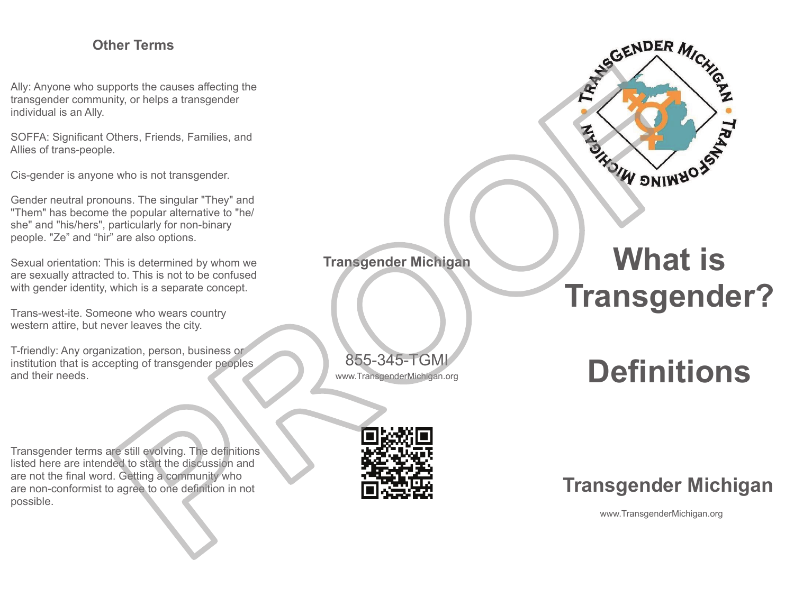## **Other Terms**

Ally: Anyone who supports the causes affecting the transgender community, or helps <sup>a</sup> transgender individual is an Ally.

SOFFA: Significant Others, Friends, Families, and Allies of trans-people.

Cis-gender is anyone who is not transgender.

Gender neutral pronouns. The singular "They" and "Them" has become the popular alternative to "he/ she" and "his/hers", particularly for non-binary people. "Ze" and "hir" are also options.

Sexual orientation: This is determined by whom we are sexually attracted to. This is not to be confused with gender identity, which is <sup>a</sup> separate concept.

Trans-west-ite. Someone who wears country western attire, but never leaves the city.

T-friendly: Any organization, person, business or institution that is accepting of transgender peoples and their needs.

Transgender terms are still evolving. The definitions listed here are intended to start the discussion and are not the final word. Getting <sup>a</sup> community who are non-conformist to agree to one definition in not

www.TransgenderMichigan.org

855-345-TGMI

**Transgender Michigan**



## **What is Transgender?**

**Definitions**



## **Transgender Michigan**

www.TransgenderMichigan.org